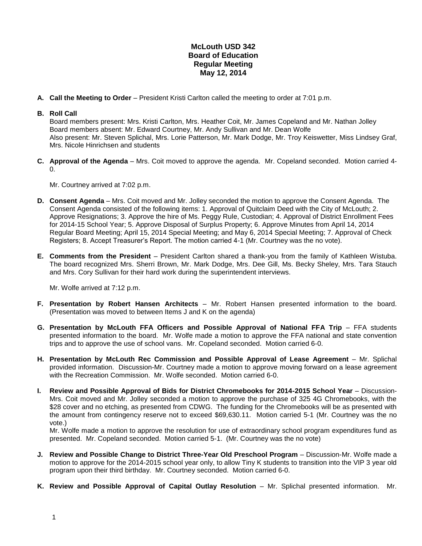## **McLouth USD 342 Board of Education Regular Meeting May 12, 2014**

**A. Call the Meeting to Order** – President Kristi Carlton called the meeting to order at 7:01 p.m.

## **B. Roll Call**

Board members present: Mrs. Kristi Carlton, Mrs. Heather Coit, Mr. James Copeland and Mr. Nathan Jolley Board members absent: Mr. Edward Courtney, Mr. Andy Sullivan and Mr. Dean Wolfe Also present: Mr. Steven Splichal, Mrs. Lorie Patterson, Mr. Mark Dodge, Mr. Troy Keiswetter, Miss Lindsey Graf, Mrs. Nicole Hinrichsen and students

**C. Approval of the Agenda** – Mrs. Coit moved to approve the agenda. Mr. Copeland seconded. Motion carried 4- 0.

Mr. Courtney arrived at 7:02 p.m.

- **D. Consent Agenda** Mrs. Coit moved and Mr. Jolley seconded the motion to approve the Consent Agenda. The Consent Agenda consisted of the following items: 1. Approval of Quitclaim Deed with the City of McLouth; 2. Approve Resignations; 3. Approve the hire of Ms. Peggy Rule, Custodian; 4. Approval of District Enrollment Fees for 2014-15 School Year; 5. Approve Disposal of Surplus Property; 6. Approve Minutes from April 14, 2014 Regular Board Meeting; April 15, 2014 Special Meeting; and May 6, 2014 Special Meeting; 7. Approval of Check Registers; 8. Accept Treasurer's Report. The motion carried 4-1 (Mr. Courtney was the no vote).
- **E. Comments from the President** President Carlton shared a thank-you from the family of Kathleen Wistuba. The board recognized Mrs. Sherri Brown, Mr. Mark Dodge, Mrs. Dee Gill, Ms. Becky Sheley, Mrs. Tara Stauch and Mrs. Cory Sullivan for their hard work during the superintendent interviews.

Mr. Wolfe arrived at 7:12 p.m.

- **F. Presentation by Robert Hansen Architects** Mr. Robert Hansen presented information to the board. (Presentation was moved to between Items J and K on the agenda)
- **G. Presentation by McLouth FFA Officers and Possible Approval of National FFA Trip** FFA students presented information to the board. Mr. Wolfe made a motion to approve the FFA national and state convention trips and to approve the use of school vans. Mr. Copeland seconded. Motion carried 6-0.
- **H. Presentation by McLouth Rec Commission and Possible Approval of Lease Agreement** Mr. Splichal provided information. Discussion-Mr. Courtney made a motion to approve moving forward on a lease agreement with the Recreation Commission. Mr. Wolfe seconded. Motion carried 6-0.
- **I. Review and Possible Approval of Bids for District Chromebooks for 2014-2015 School Year** Discussion-Mrs. Coit moved and Mr. Jolley seconded a motion to approve the purchase of 325 4G Chromebooks, with the \$28 cover and no etching, as presented from CDWG. The funding for the Chromebooks will be as presented with the amount from contingency reserve not to exceed \$69,630.11. Motion carried 5-1 (Mr. Courtney was the no vote.)

Mr. Wolfe made a motion to approve the resolution for use of extraordinary school program expenditures fund as presented. Mr. Copeland seconded. Motion carried 5-1. (Mr. Courtney was the no vote)

- **J. Review and Possible Change to District Three-Year Old Preschool Program** Discussion-Mr. Wolfe made a motion to approve for the 2014-2015 school year only, to allow Tiny K students to transition into the VIP 3 year old program upon their third birthday. Mr. Courtney seconded. Motion carried 6-0.
- **K. Review and Possible Approval of Capital Outlay Resolution** Mr. Splichal presented information. Mr.